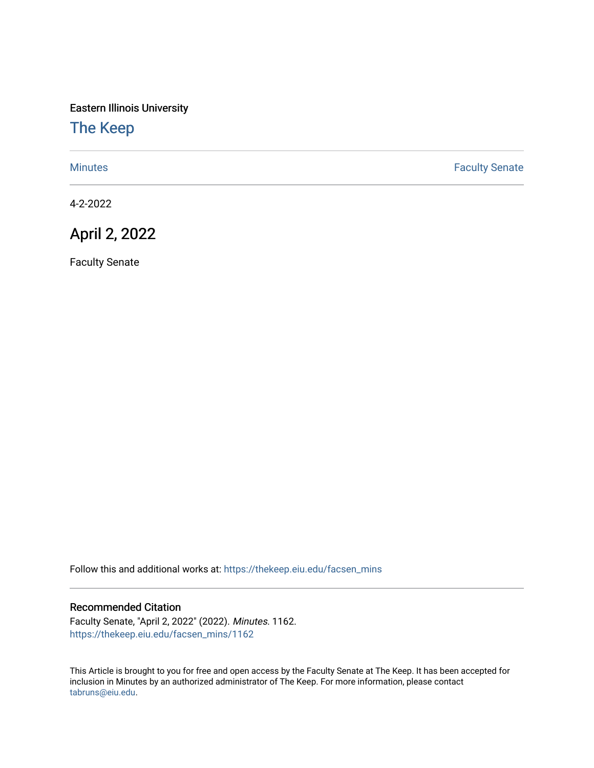Eastern Illinois University

## [The Keep](https://thekeep.eiu.edu/)

[Minutes](https://thekeep.eiu.edu/facsen_mins) **Faculty Senate** 

4-2-2022

## April 2, 2022

Faculty Senate

Follow this and additional works at: [https://thekeep.eiu.edu/facsen\\_mins](https://thekeep.eiu.edu/facsen_mins?utm_source=thekeep.eiu.edu%2Ffacsen_mins%2F1162&utm_medium=PDF&utm_campaign=PDFCoverPages) 

## Recommended Citation

Faculty Senate, "April 2, 2022" (2022). Minutes. 1162. [https://thekeep.eiu.edu/facsen\\_mins/1162](https://thekeep.eiu.edu/facsen_mins/1162?utm_source=thekeep.eiu.edu%2Ffacsen_mins%2F1162&utm_medium=PDF&utm_campaign=PDFCoverPages) 

This Article is brought to you for free and open access by the Faculty Senate at The Keep. It has been accepted for inclusion in Minutes by an authorized administrator of The Keep. For more information, please contact [tabruns@eiu.edu.](mailto:tabruns@eiu.edu)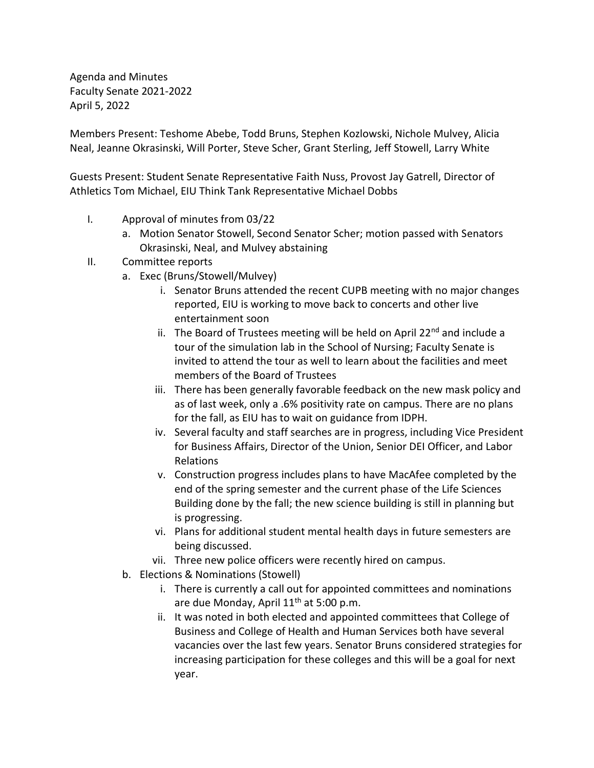Agenda and Minutes Faculty Senate 2021-2022 April 5, 2022

Members Present: Teshome Abebe, Todd Bruns, Stephen Kozlowski, Nichole Mulvey, Alicia Neal, Jeanne Okrasinski, Will Porter, Steve Scher, Grant Sterling, Jeff Stowell, Larry White

Guests Present: Student Senate Representative Faith Nuss, Provost Jay Gatrell, Director of Athletics Tom Michael, EIU Think Tank Representative Michael Dobbs

- I. Approval of minutes from 03/22
	- a. Motion Senator Stowell, Second Senator Scher; motion passed with Senators Okrasinski, Neal, and Mulvey abstaining
- II. Committee reports
	- a. Exec (Bruns/Stowell/Mulvey)
		- i. Senator Bruns attended the recent CUPB meeting with no major changes reported, EIU is working to move back to concerts and other live entertainment soon
		- ii. The Board of Trustees meeting will be held on April 22 $^{nd}$  and include a tour of the simulation lab in the School of Nursing; Faculty Senate is invited to attend the tour as well to learn about the facilities and meet members of the Board of Trustees
		- iii. There has been generally favorable feedback on the new mask policy and as of last week, only a .6% positivity rate on campus. There are no plans for the fall, as EIU has to wait on guidance from IDPH.
		- iv. Several faculty and staff searches are in progress, including Vice President for Business Affairs, Director of the Union, Senior DEI Officer, and Labor Relations
		- v. Construction progress includes plans to have MacAfee completed by the end of the spring semester and the current phase of the Life Sciences Building done by the fall; the new science building is still in planning but is progressing.
		- vi. Plans for additional student mental health days in future semesters are being discussed.
		- vii. Three new police officers were recently hired on campus.
	- b. Elections & Nominations (Stowell)
		- i. There is currently a call out for appointed committees and nominations are due Monday, April 11<sup>th</sup> at 5:00 p.m.
		- ii. It was noted in both elected and appointed committees that College of Business and College of Health and Human Services both have several vacancies over the last few years. Senator Bruns considered strategies for increasing participation for these colleges and this will be a goal for next year.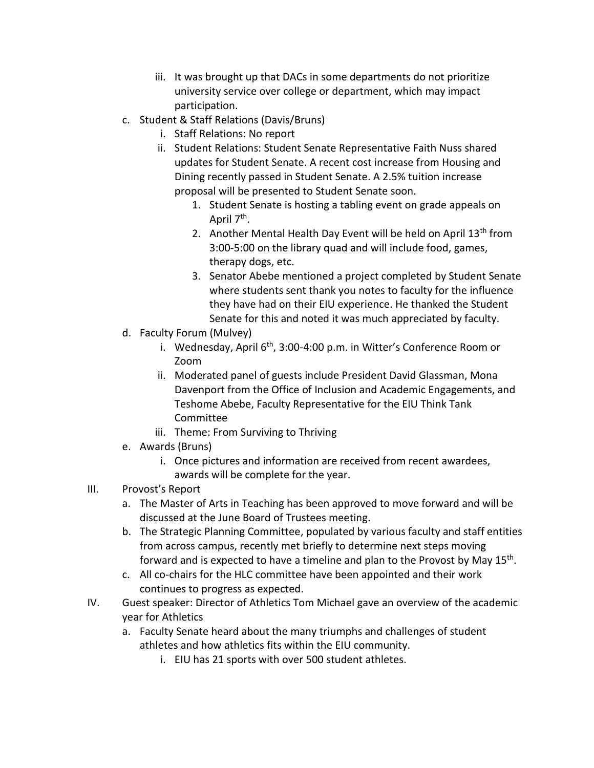- iii. It was brought up that DACs in some departments do not prioritize university service over college or department, which may impact participation.
- c. Student & Staff Relations (Davis/Bruns)
	- i. Staff Relations: No report
	- ii. Student Relations: Student Senate Representative Faith Nuss shared updates for Student Senate. A recent cost increase from Housing and Dining recently passed in Student Senate. A 2.5% tuition increase proposal will be presented to Student Senate soon.
		- 1. Student Senate is hosting a tabling event on grade appeals on April 7<sup>th</sup>.
		- 2. Another Mental Health Day Event will be held on April 13<sup>th</sup> from 3:00-5:00 on the library quad and will include food, games, therapy dogs, etc.
		- 3. Senator Abebe mentioned a project completed by Student Senate where students sent thank you notes to faculty for the influence they have had on their EIU experience. He thanked the Student Senate for this and noted it was much appreciated by faculty.
- d. Faculty Forum (Mulvey)
	- i. Wednesday, April 6<sup>th</sup>, 3:00-4:00 p.m. in Witter's Conference Room or Zoom
	- ii. Moderated panel of guests include President David Glassman, Mona Davenport from the Office of Inclusion and Academic Engagements, and Teshome Abebe, Faculty Representative for the EIU Think Tank Committee
	- iii. Theme: From Surviving to Thriving
- e. Awards (Bruns)
	- i. Once pictures and information are received from recent awardees, awards will be complete for the year.
- III. Provost's Report
	- a. The Master of Arts in Teaching has been approved to move forward and will be discussed at the June Board of Trustees meeting.
	- b. The Strategic Planning Committee, populated by various faculty and staff entities from across campus, recently met briefly to determine next steps moving forward and is expected to have a timeline and plan to the Provost by May 15<sup>th</sup>.
	- c. All co-chairs for the HLC committee have been appointed and their work continues to progress as expected.
- IV. Guest speaker: Director of Athletics Tom Michael gave an overview of the academic year for Athletics
	- a. Faculty Senate heard about the many triumphs and challenges of student athletes and how athletics fits within the EIU community.
		- i. EIU has 21 sports with over 500 student athletes.